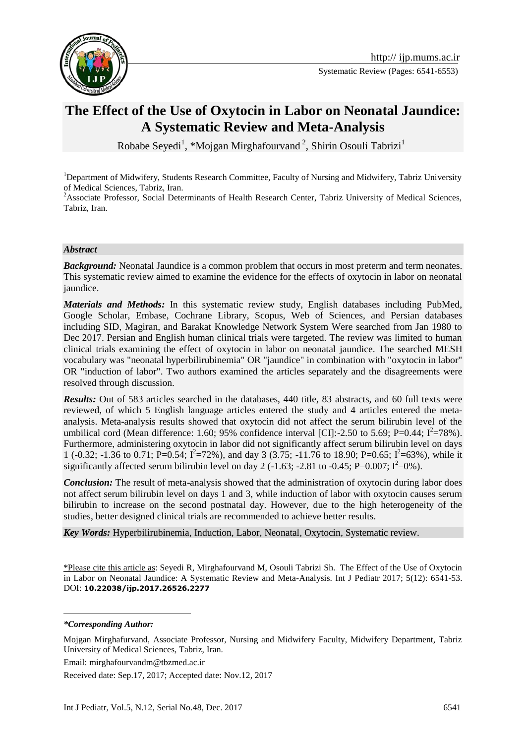

Systematic Review (Pages: 6541-6553)

# **[The Effect of the Use of Oxytocin](https://www.google.com/url?sa=t&rct=j&q=&esrc=s&source=web&cd=20&cad=rja&uact=8&ved=0ahUKEwjBp8XdoMDWAhWMthoKHXHsCT84ChAWCGMwCQ&url=http%3A%2F%2Feuropepmc.org%2Fabstract%2Fmed%2F24897394&usg=AFQjCNF501qggzhNGINCx0gnln88He7dAw) in Labor on Neonatal Jaundice: A Systematic Review and Meta-Analysis**

Robabe Seyedi<sup>1</sup>, \*Mojgan Mirghafourvand<sup>2</sup>, Shirin Osouli Tabrizi<sup>1</sup>

<sup>1</sup>Department of Midwifery, Students Research Committee, Faculty of Nursing and Midwifery, Tabriz University of Medical Sciences, Tabriz, Iran.

<sup>2</sup>Associate Professor, Social Determinants of Health Research Center, Tabriz University of Medical Sciences, Tabriz, Iran.

#### *Abstract*

**Background:** Neonatal Jaundice is a common problem that occurs in most preterm and term neonates. This systematic review aimed to examine the evidence for the effects of oxytocin in labor on neonatal jaundice.

*Materials and Methods:* In this systematic review study, English databases including PubMed, Google Scholar, Embase, Cochrane Library, Scopus, Web of Sciences, and Persian databases including SID, Magiran, and Barakat Knowledge Network System Were searched from Jan 1980 to Dec 2017. Persian and English human clinical trials were targeted. The review was limited to human clinical trials examining the effect of oxytocin in labor on neonatal jaundice. The searched MESH vocabulary was "neonatal hyperbilirubinemia" OR "jaundice" in combination with "oxytocin in labor" OR "induction of labor". Two authors examined the articles separately and the disagreements were resolved through discussion.

*Results:* Out of 583 articles searched in the databases, 440 title, 83 abstracts, and 60 full texts were reviewed, of which 5 English language articles entered the study and 4 articles entered the metaanalysis. Meta-analysis results showed that oxytocin did not affect the serum bilirubin level of the umbilical cord (Mean difference: 1.60; 95% confidence interval [CI]:-2.50 to 5.69; P=0.44;  $I^2$ =78%). Furthermore, administering oxytocin in labor did not significantly affect serum bilirubin level on days 1 (-0.32; -1.36 to 0.71; P=0.54;  $I^2$ =72%), and day 3 (3.75; -11.76 to 18.90; P=0.65;  $I^2$ =63%), while it significantly affected serum bilirubin level on day 2 (-1.63; -2.81 to -0.45; P=0.007;  $I^2$ =0%).

*Conclusion:* The result of meta-analysis showed that the administration of oxytocin during labor does not affect serum bilirubin level on days 1 and 3, while induction of labor with oxytocin causes serum bilirubin to increase on the second postnatal day. However, due to the high heterogeneity of the studies, better designed clinical trials are recommended to achieve better results.

*Key Words:* [Hyperbilirubinemia,](https://www.ncbi.nlm.nih.gov/mesh/68051556) Induction, Labor, Neonatal, Oxytocin, Systematic review.

\*Please cite this article as: Seyedi R, Mirghafourvand M, Osouli Tabrizi Sh.. [The Effect of the Use of Oxytocin](https://www.google.com/url?sa=t&rct=j&q=&esrc=s&source=web&cd=20&cad=rja&uact=8&ved=0ahUKEwjBp8XdoMDWAhWMthoKHXHsCT84ChAWCGMwCQ&url=http%3A%2F%2Feuropepmc.org%2Fabstract%2Fmed%2F24897394&usg=AFQjCNF501qggzhNGINCx0gnln88He7dAw) in Labor on Neonatal Jaundice: A Systematic Review and Meta-Analysis. Int J Pediatr 2017; 5(12): 6541-53. DOI: **10.22038/ijp.2017.26526.2277**

<u>.</u>

Email: mirghafourvandm@tbzmed.ac.ir

Received date: Sep.17, 2017; Accepted date: Nov.12, 2017

*<sup>\*</sup>Corresponding Author:*

Mojgan Mirghafurvand, Associate Professor, Nursing and Midwifery Faculty, Midwifery Department, Tabriz University of Medical Sciences, Tabriz, Iran.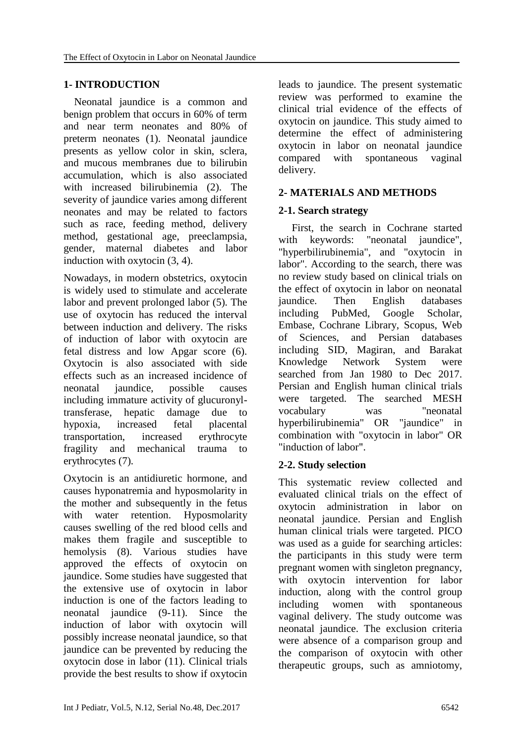# **1- INTRODUCTION**

 Neonatal jaundice is a common and benign problem that occurs in 60% of term and near term neonates and 80% of preterm neonates (1). Neonatal jaundice presents as yellow color in skin, sclera, and mucous membranes due to bilirubin accumulation, which is also associated with increased bilirubinemia (2). The severity of jaundice varies among different neonates and may be related to factors such as race, feeding method, delivery method, gestational age, preeclampsia, gender, maternal diabetes and labor induction with oxytocin (3, 4).

Nowadays, in modern obstetrics, oxytocin is widely used to stimulate and accelerate labor and prevent prolonged labor (5). The use of oxytocin has reduced the interval between induction and delivery. The risks of induction of labor with oxytocin are fetal distress and low Apgar score (6). Oxytocin is also associated with side effects such as an increased incidence of neonatal jaundice, possible causes including immature activity of glucuronyltransferase, hepatic damage due to hypoxia, increased fetal placental transportation, increased erythrocyte fragility and mechanical trauma to erythrocytes (7).

Oxytocin is an antidiuretic hormone, and causes hyponatremia and hyposmolarity in the mother and subsequently in the fetus with water retention. Hyposmolarity causes swelling of the red blood cells and makes them fragile and susceptible to hemolysis (8). Various studies have approved the effects of oxytocin on jaundice. Some studies have suggested that the extensive use of oxytocin in labor induction is one of the factors leading to neonatal jaundice (9-11). Since the induction of labor with oxytocin will possibly increase neonatal jaundice, so that jaundice can be prevented by reducing the oxytocin dose in labor (11). Clinical trials provide the best results to show if oxytocin leads to jaundice. The present systematic review was performed to examine the clinical trial evidence of the effects of oxytocin on jaundice. This study aimed to determine the effect of administering oxytocin in labor on neonatal jaundice compared with spontaneous vaginal delivery.

#### **2- MATERIALS AND METHODS**

## **2-1. Search strategy**

 First, the search in Cochrane started with keywords: "neonatal jaundice", "hyperbilirubinemia", and "oxytocin in labor". According to the search, there was no review study based on clinical trials on the effect of oxytocin in labor on neonatal jaundice. Then English databases including PubMed, Google Scholar, Embase, Cochrane Library, Scopus, Web of Sciences, and Persian databases including SID, Magiran, and Barakat Knowledge Network System were searched from Jan 1980 to Dec 2017. Persian and English human clinical trials were targeted. The searched MESH vocabulary was "neonatal hyperbilirubinemia" OR "jaundice" in combination with "oxytocin in labor" OR "induction of labor".

#### **2-2. Study selection**

This systematic review collected and evaluated clinical trials on the effect of oxytocin administration in labor on neonatal jaundice. Persian and English human clinical trials were targeted. PICO was used as a guide for searching articles: the participants in this study were term pregnant women with singleton pregnancy, with oxytocin intervention for labor induction, along with the control group including women with spontaneous vaginal delivery. The study outcome was neonatal jaundice. The exclusion criteria were absence of a comparison group and the comparison of oxytocin with other therapeutic groups, such as amniotomy,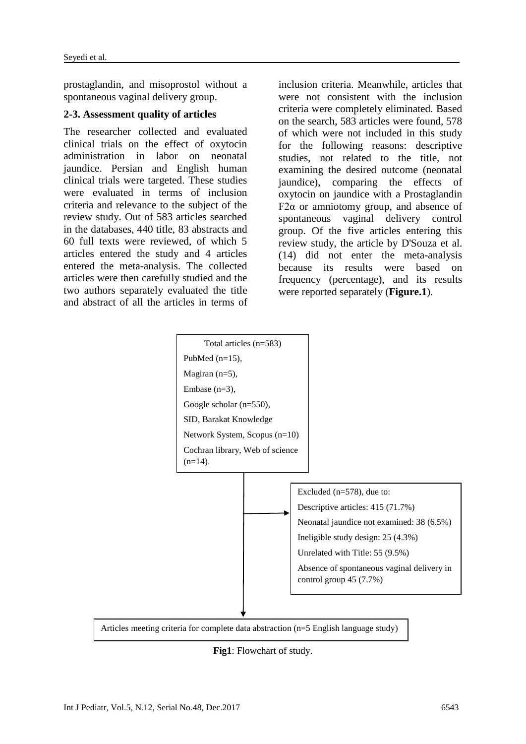prostaglandin, and misoprostol without a spontaneous vaginal delivery group.

#### **2-3. Assessment quality of articles**

The researcher collected and evaluated clinical trials on the effect of oxytocin administration in labor on neonatal jaundice. Persian and English human clinical trials were targeted. These studies were evaluated in terms of inclusion criteria and relevance to the subject of the review study. Out of 583 articles searched in the databases, 440 title, 83 abstracts and 60 full texts were reviewed, of which 5 articles entered the study and 4 articles entered the meta-analysis. The collected articles were then carefully studied and the two authors separately evaluated the title and abstract of all the articles in terms of

inclusion criteria. Meanwhile, articles that were not consistent with the inclusion criteria were completely eliminated. Based on the search, 583 articles were found, 578 of which were not included in this study for the following reasons: descriptive studies, not related to the title, not examining the desired outcome (neonatal jaundice), comparing the effects of oxytocin on jaundice with a Prostaglandin F2 $α$  or amniotomy group, and absence of spontaneous vaginal delivery control group. Of the five articles entering this review study, the article by D'Souza et al. (14) did not enter the meta-analysis because its results were based on frequency (percentage), and its results were reported separately (**Figure.1**).



Articles meeting criteria for complete data abstraction (n=5 English language study)

**Fig1**: Flowchart of study.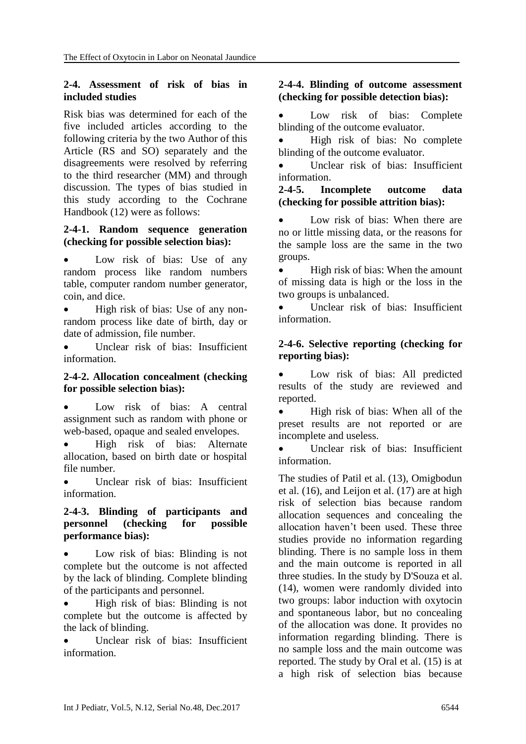#### **2-4. Assessment of risk of bias in included studies**

Risk bias was determined for each of the five included articles according to the following criteria by the two Author of this Article (RS and SO) separately and the disagreements were resolved by referring to the third researcher (MM) and through discussion. The types of bias studied in this study according to the Cochrane Handbook (12) were as follows:

#### **2-4-1. Random sequence generation (checking for possible selection bias):**

• Low risk of bias: Use of any random process like random numbers table, computer random number generator, coin, and dice.

• High risk of bias: Use of any nonrandom process like date of birth, day or date of admission, file number.

 Unclear risk of bias: Insufficient information.

#### **2-4-2. Allocation concealment (checking for possible selection bias):**

 Low risk of bias: A central assignment such as random with phone or web-based, opaque and sealed envelopes.

 High risk of bias: Alternate allocation, based on birth date or hospital file number.

 Unclear risk of bias: Insufficient information.

#### **2-4-3. Blinding of participants and personnel (checking for possible performance bias):**

 Low risk of bias: Blinding is not complete but the outcome is not affected by the lack of blinding. Complete blinding of the participants and personnel.

 High risk of bias: Blinding is not complete but the outcome is affected by the lack of blinding.

 Unclear risk of bias: Insufficient information.

#### **2-4-4. Blinding of outcome assessment (checking for possible detection bias):**

 Low risk of bias: Complete blinding of the outcome evaluator.

 High risk of bias: No complete blinding of the outcome evaluator.

 Unclear risk of bias: Insufficient information.

#### **2-4-5. Incomplete outcome data (checking for possible attrition bias):**

 Low risk of bias: When there are no or little missing data, or the reasons for the sample loss are the same in the two groups.

• High risk of bias: When the amount of missing data is high or the loss in the two groups is unbalanced.

 Unclear risk of bias: Insufficient information.

## **2-4-6. Selective reporting (checking for reporting bias):**

 Low risk of bias: All predicted results of the study are reviewed and reported.

• High risk of bias: When all of the preset results are not reported or are incomplete and useless.

 Unclear risk of bias: Insufficient information.

The studies of Patil et al. (13), Omigbodun et al. (16), and Leijon et al. (17) are at high risk of selection bias because random allocation sequences and concealing the allocation haven't been used. These three studies provide no information regarding blinding. There is no sample loss in them and the main outcome is reported in all three studies. In the study by D'Souza et al. (14), women were randomly divided into two groups: labor induction with oxytocin and spontaneous labor, but no concealing of the allocation was done. It provides no information regarding blinding. There is no sample loss and the main outcome was reported. The study by Oral et al. (15) is at a high risk of selection bias because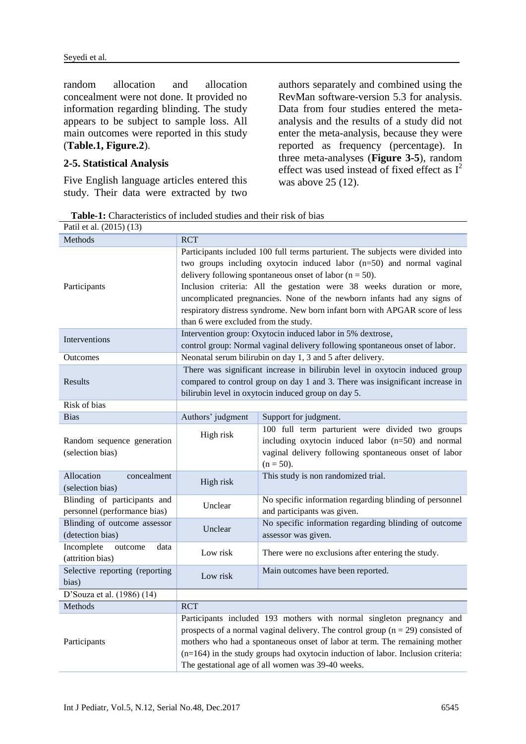random allocation and allocation concealment were not done. It provided no information regarding blinding. The study appears to be subject to sample loss. All main outcomes were reported in this study (**Table.1, Figure.2**).

#### **2-5. Statistical Analysis**

Five English language articles entered this study. Their data were extracted by two

authors separately and combined using the RevMan software-version 5.3 for analysis. Data from four studies entered the metaanalysis and the results of a study did not enter the meta-analysis, because they were reported as frequency (percentage). In three meta-analyses (**Figure 3-5**), random effect was used instead of fixed effect as  $I^2$ was above 25 (12).

**Table-1:** Characteristics of included studies and their risk of bias

| Patil et al. (2015) (13)                                     |                                                                                                                                                                                                                                                                                                                                                                                                                                                                                                     |                                                                                                                                                                                 |  |  |  |  |  |  |  |  |
|--------------------------------------------------------------|-----------------------------------------------------------------------------------------------------------------------------------------------------------------------------------------------------------------------------------------------------------------------------------------------------------------------------------------------------------------------------------------------------------------------------------------------------------------------------------------------------|---------------------------------------------------------------------------------------------------------------------------------------------------------------------------------|--|--|--|--|--|--|--|--|
| Methods                                                      | <b>RCT</b>                                                                                                                                                                                                                                                                                                                                                                                                                                                                                          |                                                                                                                                                                                 |  |  |  |  |  |  |  |  |
| Participants                                                 | Participants included 100 full terms parturient. The subjects were divided into<br>two groups including oxytocin induced labor (n=50) and normal vaginal<br>delivery following spontaneous onset of labor ( $n = 50$ ).<br>Inclusion criteria: All the gestation were 38 weeks duration or more,<br>uncomplicated pregnancies. None of the newborn infants had any signs of<br>respiratory distress syndrome. New born infant born with APGAR score of less<br>than 6 were excluded from the study. |                                                                                                                                                                                 |  |  |  |  |  |  |  |  |
| Interventions                                                |                                                                                                                                                                                                                                                                                                                                                                                                                                                                                                     | Intervention group: Oxytocin induced labor in 5% dextrose,<br>control group: Normal vaginal delivery following spontaneous onset of labor.                                      |  |  |  |  |  |  |  |  |
| Outcomes                                                     |                                                                                                                                                                                                                                                                                                                                                                                                                                                                                                     | Neonatal serum bilirubin on day 1, 3 and 5 after delivery.                                                                                                                      |  |  |  |  |  |  |  |  |
| Results                                                      | There was significant increase in bilirubin level in oxytocin induced group<br>compared to control group on day 1 and 3. There was insignificant increase in<br>bilirubin level in oxytocin induced group on day 5.                                                                                                                                                                                                                                                                                 |                                                                                                                                                                                 |  |  |  |  |  |  |  |  |
| Risk of bias                                                 |                                                                                                                                                                                                                                                                                                                                                                                                                                                                                                     |                                                                                                                                                                                 |  |  |  |  |  |  |  |  |
| <b>Bias</b>                                                  | Authors' judgment                                                                                                                                                                                                                                                                                                                                                                                                                                                                                   | Support for judgment.                                                                                                                                                           |  |  |  |  |  |  |  |  |
| Random sequence generation<br>(selection bias)               | High risk                                                                                                                                                                                                                                                                                                                                                                                                                                                                                           | 100 full term parturient were divided two groups<br>including oxytocin induced labor (n=50) and normal<br>vaginal delivery following spontaneous onset of labor<br>$(n = 50)$ . |  |  |  |  |  |  |  |  |
| Allocation<br>concealment<br>(selection bias)                | High risk                                                                                                                                                                                                                                                                                                                                                                                                                                                                                           | This study is non randomized trial.                                                                                                                                             |  |  |  |  |  |  |  |  |
| Blinding of participants and<br>personnel (performance bias) | Unclear                                                                                                                                                                                                                                                                                                                                                                                                                                                                                             | No specific information regarding blinding of personnel<br>and participants was given.                                                                                          |  |  |  |  |  |  |  |  |
| Blinding of outcome assessor<br>(detection bias)             | Unclear                                                                                                                                                                                                                                                                                                                                                                                                                                                                                             | No specific information regarding blinding of outcome<br>assessor was given.                                                                                                    |  |  |  |  |  |  |  |  |
| Incomplete<br>outcome<br>data<br>(attrition bias)            | Low risk                                                                                                                                                                                                                                                                                                                                                                                                                                                                                            | There were no exclusions after entering the study.                                                                                                                              |  |  |  |  |  |  |  |  |
| Selective reporting (reporting<br>bias)                      | Low risk                                                                                                                                                                                                                                                                                                                                                                                                                                                                                            | Main outcomes have been reported.                                                                                                                                               |  |  |  |  |  |  |  |  |
| D'Souza et al. (1986) (14)                                   |                                                                                                                                                                                                                                                                                                                                                                                                                                                                                                     |                                                                                                                                                                                 |  |  |  |  |  |  |  |  |
| Methods                                                      | <b>RCT</b>                                                                                                                                                                                                                                                                                                                                                                                                                                                                                          |                                                                                                                                                                                 |  |  |  |  |  |  |  |  |
| Participants                                                 | Participants included 193 mothers with normal singleton pregnancy and<br>prospects of a normal vaginal delivery. The control group ( $n = 29$ ) consisted of<br>mothers who had a spontaneous onset of labor at term. The remaining mother<br>$(n=164)$ in the study groups had oxytocin induction of labor. Inclusion criteria:<br>The gestational age of all women was 39-40 weeks.                                                                                                               |                                                                                                                                                                                 |  |  |  |  |  |  |  |  |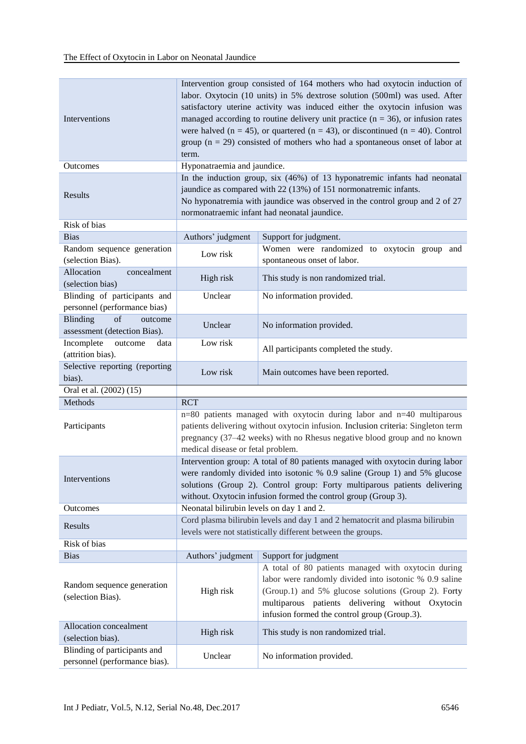| Interventions                                                    | Intervention group consisted of 164 mothers who had oxytocin induction of<br>labor. Oxytocin (10 units) in 5% dextrose solution (500ml) was used. After<br>satisfactory uterine activity was induced either the oxytocin infusion was<br>managed according to routine delivery unit practice ( $n = 36$ ), or infusion rates<br>were halved ( $n = 45$ ), or quartered ( $n = 43$ ), or discontinued ( $n = 40$ ). Control<br>group ( $n = 29$ ) consisted of mothers who had a spontaneous onset of labor at<br>term. |                                                                                                                                                                                                                                                                          |  |  |  |  |  |  |  |  |  |
|------------------------------------------------------------------|------------------------------------------------------------------------------------------------------------------------------------------------------------------------------------------------------------------------------------------------------------------------------------------------------------------------------------------------------------------------------------------------------------------------------------------------------------------------------------------------------------------------|--------------------------------------------------------------------------------------------------------------------------------------------------------------------------------------------------------------------------------------------------------------------------|--|--|--|--|--|--|--|--|--|
| Outcomes                                                         | Hyponatraemia and jaundice.                                                                                                                                                                                                                                                                                                                                                                                                                                                                                            |                                                                                                                                                                                                                                                                          |  |  |  |  |  |  |  |  |  |
| Results                                                          | In the induction group, six (46%) of 13 hyponatremic infants had neonatal<br>jaundice as compared with 22 (13%) of 151 normonatremic infants.<br>No hyponatremia with jaundice was observed in the control group and 2 of 27<br>normonatraemic infant had neonatal jaundice.                                                                                                                                                                                                                                           |                                                                                                                                                                                                                                                                          |  |  |  |  |  |  |  |  |  |
| Risk of bias                                                     |                                                                                                                                                                                                                                                                                                                                                                                                                                                                                                                        |                                                                                                                                                                                                                                                                          |  |  |  |  |  |  |  |  |  |
| <b>Bias</b>                                                      | Authors' judgment                                                                                                                                                                                                                                                                                                                                                                                                                                                                                                      | Support for judgment.                                                                                                                                                                                                                                                    |  |  |  |  |  |  |  |  |  |
| Random sequence generation<br>(selection Bias).                  | Low risk                                                                                                                                                                                                                                                                                                                                                                                                                                                                                                               | Women were randomized to oxytocin group<br>and<br>spontaneous onset of labor.                                                                                                                                                                                            |  |  |  |  |  |  |  |  |  |
| Allocation<br>concealment<br>(selection bias)                    | High risk                                                                                                                                                                                                                                                                                                                                                                                                                                                                                                              | This study is non randomized trial.                                                                                                                                                                                                                                      |  |  |  |  |  |  |  |  |  |
| Blinding of participants and<br>personnel (performance bias)     | Unclear                                                                                                                                                                                                                                                                                                                                                                                                                                                                                                                | No information provided.                                                                                                                                                                                                                                                 |  |  |  |  |  |  |  |  |  |
| of<br><b>Blinding</b><br>outcome<br>assessment (detection Bias). | Unclear                                                                                                                                                                                                                                                                                                                                                                                                                                                                                                                | No information provided.                                                                                                                                                                                                                                                 |  |  |  |  |  |  |  |  |  |
| Incomplete<br>outcome<br>data<br>(attrition bias).               | Low risk                                                                                                                                                                                                                                                                                                                                                                                                                                                                                                               | All participants completed the study.                                                                                                                                                                                                                                    |  |  |  |  |  |  |  |  |  |
| Selective reporting (reporting<br>bias).                         | Low risk                                                                                                                                                                                                                                                                                                                                                                                                                                                                                                               | Main outcomes have been reported.                                                                                                                                                                                                                                        |  |  |  |  |  |  |  |  |  |
| Oral et al. (2002) (15)                                          |                                                                                                                                                                                                                                                                                                                                                                                                                                                                                                                        |                                                                                                                                                                                                                                                                          |  |  |  |  |  |  |  |  |  |
| Methods                                                          | <b>RCT</b>                                                                                                                                                                                                                                                                                                                                                                                                                                                                                                             |                                                                                                                                                                                                                                                                          |  |  |  |  |  |  |  |  |  |
| Participants                                                     | medical disease or fetal problem.                                                                                                                                                                                                                                                                                                                                                                                                                                                                                      | n=80 patients managed with oxytocin during labor and n=40 multiparous<br>patients delivering without oxytocin infusion. Inclusion criteria: Singleton term<br>pregnancy (37-42 weeks) with no Rhesus negative blood group and no known                                   |  |  |  |  |  |  |  |  |  |
| Interventions                                                    | Intervention group: A total of 80 patients managed with oxytocin during labor<br>were randomly divided into isotonic % 0.9 saline (Group 1) and 5% glucose<br>solutions (Group 2). Control group: Forty multiparous patients delivering<br>without. Oxytocin infusion formed the control group (Group 3).                                                                                                                                                                                                              |                                                                                                                                                                                                                                                                          |  |  |  |  |  |  |  |  |  |
| Outcomes                                                         | Neonatal bilirubin levels on day 1 and 2.                                                                                                                                                                                                                                                                                                                                                                                                                                                                              |                                                                                                                                                                                                                                                                          |  |  |  |  |  |  |  |  |  |
| Results                                                          |                                                                                                                                                                                                                                                                                                                                                                                                                                                                                                                        | Cord plasma bilirubin levels and day 1 and 2 hematocrit and plasma bilirubin<br>levels were not statistically different between the groups.                                                                                                                              |  |  |  |  |  |  |  |  |  |
| Risk of bias                                                     |                                                                                                                                                                                                                                                                                                                                                                                                                                                                                                                        |                                                                                                                                                                                                                                                                          |  |  |  |  |  |  |  |  |  |
| <b>Bias</b>                                                      | Authors' judgment                                                                                                                                                                                                                                                                                                                                                                                                                                                                                                      | Support for judgment                                                                                                                                                                                                                                                     |  |  |  |  |  |  |  |  |  |
| Random sequence generation<br>(selection Bias).                  | High risk                                                                                                                                                                                                                                                                                                                                                                                                                                                                                                              | A total of 80 patients managed with oxytocin during<br>labor were randomly divided into isotonic % 0.9 saline<br>(Group.1) and 5% glucose solutions (Group 2). Forty<br>multiparous patients delivering without Oxytocin<br>infusion formed the control group (Group.3). |  |  |  |  |  |  |  |  |  |
| Allocation concealment<br>(selection bias).                      | High risk                                                                                                                                                                                                                                                                                                                                                                                                                                                                                                              | This study is non randomized trial.                                                                                                                                                                                                                                      |  |  |  |  |  |  |  |  |  |
| Blinding of participants and<br>personnel (performance bias).    | Unclear                                                                                                                                                                                                                                                                                                                                                                                                                                                                                                                | No information provided.                                                                                                                                                                                                                                                 |  |  |  |  |  |  |  |  |  |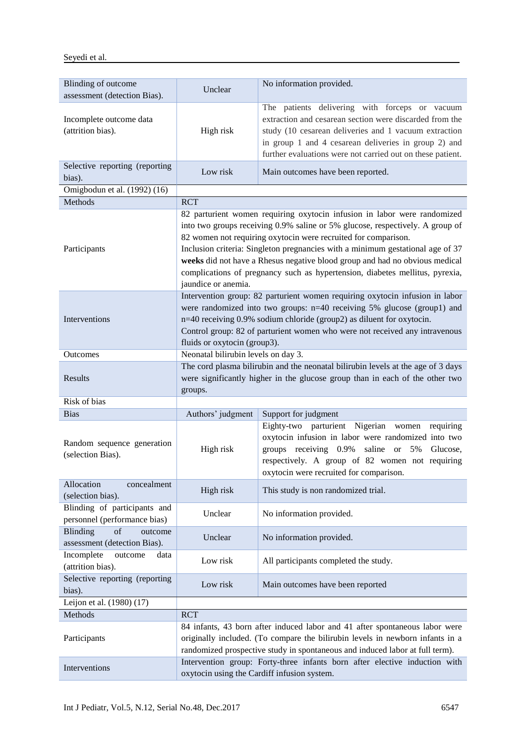| Blinding of outcome<br>assessment (detection Bias).          | Unclear                                                                                                                                                                                                                                                                                                                                                                                                                                                                                             | No information provided.                                                                                                                                                                                                                                                                 |  |  |  |  |  |  |  |
|--------------------------------------------------------------|-----------------------------------------------------------------------------------------------------------------------------------------------------------------------------------------------------------------------------------------------------------------------------------------------------------------------------------------------------------------------------------------------------------------------------------------------------------------------------------------------------|------------------------------------------------------------------------------------------------------------------------------------------------------------------------------------------------------------------------------------------------------------------------------------------|--|--|--|--|--|--|--|
| Incomplete outcome data<br>(attrition bias).                 | High risk                                                                                                                                                                                                                                                                                                                                                                                                                                                                                           | The patients delivering with forceps or vacuum<br>extraction and cesarean section were discarded from the<br>study (10 cesarean deliveries and 1 vacuum extraction<br>in group 1 and 4 cesarean deliveries in group 2) and<br>further evaluations were not carried out on these patient. |  |  |  |  |  |  |  |
| Selective reporting (reporting<br>bias).                     | Low risk                                                                                                                                                                                                                                                                                                                                                                                                                                                                                            | Main outcomes have been reported.                                                                                                                                                                                                                                                        |  |  |  |  |  |  |  |
| Omigbodun et al. (1992) (16)                                 |                                                                                                                                                                                                                                                                                                                                                                                                                                                                                                     |                                                                                                                                                                                                                                                                                          |  |  |  |  |  |  |  |
| Methods                                                      | <b>RCT</b>                                                                                                                                                                                                                                                                                                                                                                                                                                                                                          |                                                                                                                                                                                                                                                                                          |  |  |  |  |  |  |  |
| Participants                                                 | 82 parturient women requiring oxytocin infusion in labor were randomized<br>into two groups receiving 0.9% saline or 5% glucose, respectively. A group of<br>82 women not requiring oxytocin were recruited for comparison.<br>Inclusion criteria: Singleton pregnancies with a minimum gestational age of 37<br>weeks did not have a Rhesus negative blood group and had no obvious medical<br>complications of pregnancy such as hypertension, diabetes mellitus, pyrexia,<br>jaundice or anemia. |                                                                                                                                                                                                                                                                                          |  |  |  |  |  |  |  |
| Interventions                                                | Intervention group: 82 parturient women requiring oxytocin infusion in labor<br>were randomized into two groups: $n=40$ receiving 5% glucose (group1) and<br>n=40 receiving 0.9% sodium chloride (group2) as diluent for oxytocin.<br>Control group: 82 of parturient women who were not received any intravenous<br>fluids or oxytocin (group3).                                                                                                                                                   |                                                                                                                                                                                                                                                                                          |  |  |  |  |  |  |  |
| Outcomes                                                     | Neonatal bilirubin levels on day 3.                                                                                                                                                                                                                                                                                                                                                                                                                                                                 |                                                                                                                                                                                                                                                                                          |  |  |  |  |  |  |  |
| Results                                                      | The cord plasma bilirubin and the neonatal bilirubin levels at the age of 3 days<br>were significantly higher in the glucose group than in each of the other two<br>groups.                                                                                                                                                                                                                                                                                                                         |                                                                                                                                                                                                                                                                                          |  |  |  |  |  |  |  |
| Risk of bias                                                 |                                                                                                                                                                                                                                                                                                                                                                                                                                                                                                     |                                                                                                                                                                                                                                                                                          |  |  |  |  |  |  |  |
| <b>Bias</b>                                                  | Authors' judgment                                                                                                                                                                                                                                                                                                                                                                                                                                                                                   | Support for judgment                                                                                                                                                                                                                                                                     |  |  |  |  |  |  |  |
| Random sequence generation<br>(selection Bias).              | High risk                                                                                                                                                                                                                                                                                                                                                                                                                                                                                           | Eighty-two parturient Nigerian women requiring<br>oxytocin infusion in labor were randomized into two<br>groups receiving 0.9% saline or 5% Glucose,<br>respectively. A group of 82 women not requiring<br>oxytocin were recruited for comparison.                                       |  |  |  |  |  |  |  |
| Allocation<br>concealment<br>(selection bias).               | High risk                                                                                                                                                                                                                                                                                                                                                                                                                                                                                           | This study is non randomized trial.                                                                                                                                                                                                                                                      |  |  |  |  |  |  |  |
| Blinding of participants and<br>personnel (performance bias) | Unclear                                                                                                                                                                                                                                                                                                                                                                                                                                                                                             | No information provided.                                                                                                                                                                                                                                                                 |  |  |  |  |  |  |  |
| of<br>Blinding<br>outcome<br>assessment (detection Bias).    | Unclear                                                                                                                                                                                                                                                                                                                                                                                                                                                                                             | No information provided.                                                                                                                                                                                                                                                                 |  |  |  |  |  |  |  |
| Incomplete<br>outcome<br>data<br>(attrition bias).           | Low risk                                                                                                                                                                                                                                                                                                                                                                                                                                                                                            | All participants completed the study.                                                                                                                                                                                                                                                    |  |  |  |  |  |  |  |
| Selective reporting (reporting<br>bias).                     | Low risk                                                                                                                                                                                                                                                                                                                                                                                                                                                                                            | Main outcomes have been reported                                                                                                                                                                                                                                                         |  |  |  |  |  |  |  |
| Leijon et al. (1980) (17)                                    |                                                                                                                                                                                                                                                                                                                                                                                                                                                                                                     |                                                                                                                                                                                                                                                                                          |  |  |  |  |  |  |  |
| Methods                                                      | <b>RCT</b>                                                                                                                                                                                                                                                                                                                                                                                                                                                                                          |                                                                                                                                                                                                                                                                                          |  |  |  |  |  |  |  |
| Participants                                                 | 84 infants, 43 born after induced labor and 41 after spontaneous labor were<br>originally included. (To compare the bilirubin levels in newborn infants in a<br>randomized prospective study in spontaneous and induced labor at full term).                                                                                                                                                                                                                                                        |                                                                                                                                                                                                                                                                                          |  |  |  |  |  |  |  |
| Interventions                                                | Intervention group: Forty-three infants born after elective induction with<br>oxytocin using the Cardiff infusion system.                                                                                                                                                                                                                                                                                                                                                                           |                                                                                                                                                                                                                                                                                          |  |  |  |  |  |  |  |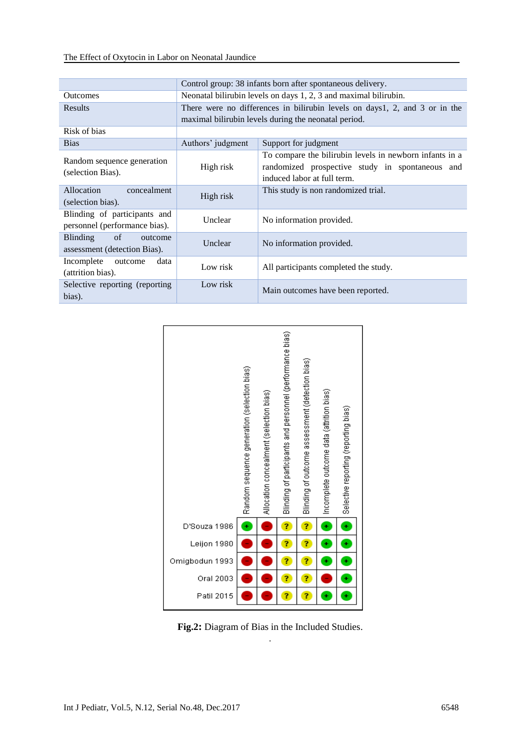|                                                                           | Control group: 38 infants born after spontaneous delivery.                 |                                                                                                                                           |  |  |  |  |  |  |  |  |
|---------------------------------------------------------------------------|----------------------------------------------------------------------------|-------------------------------------------------------------------------------------------------------------------------------------------|--|--|--|--|--|--|--|--|
| <b>Outcomes</b>                                                           | Neonatal bilirubin levels on days 1, 2, 3 and maximal bilirubin.           |                                                                                                                                           |  |  |  |  |  |  |  |  |
| <b>Results</b>                                                            | There were no differences in bilirubin levels on days1, 2, and 3 or in the |                                                                                                                                           |  |  |  |  |  |  |  |  |
|                                                                           | maximal bilirubin levels during the neonatal period.                       |                                                                                                                                           |  |  |  |  |  |  |  |  |
| Risk of bias                                                              |                                                                            |                                                                                                                                           |  |  |  |  |  |  |  |  |
| <b>Bias</b>                                                               | Authors' judgment                                                          | Support for judgment                                                                                                                      |  |  |  |  |  |  |  |  |
| Random sequence generation<br>(selection Bias).                           | High risk                                                                  | To compare the bilirubin levels in newborn infants in a<br>randomized prospective study in spontaneous and<br>induced labor at full term. |  |  |  |  |  |  |  |  |
| Allocation<br>concealment<br>(selection bias).                            | High risk                                                                  | This study is non randomized trial.                                                                                                       |  |  |  |  |  |  |  |  |
| Blinding of participants and<br>personnel (performance bias).             | Unclear                                                                    | No information provided.                                                                                                                  |  |  |  |  |  |  |  |  |
| $\sigma$ of<br><b>Blinding</b><br>outcome<br>assessment (detection Bias). | Unclear                                                                    | No information provided.                                                                                                                  |  |  |  |  |  |  |  |  |
| Incomplete outcome<br>data<br>(attrition bias).                           | Low risk                                                                   | All participants completed the study.                                                                                                     |  |  |  |  |  |  |  |  |
| Selective reporting (reporting)<br>bias).                                 | Low risk                                                                   | Main outcomes have been reported.                                                                                                         |  |  |  |  |  |  |  |  |



**Fig.2:** Diagram of Bias in the Included Studies. .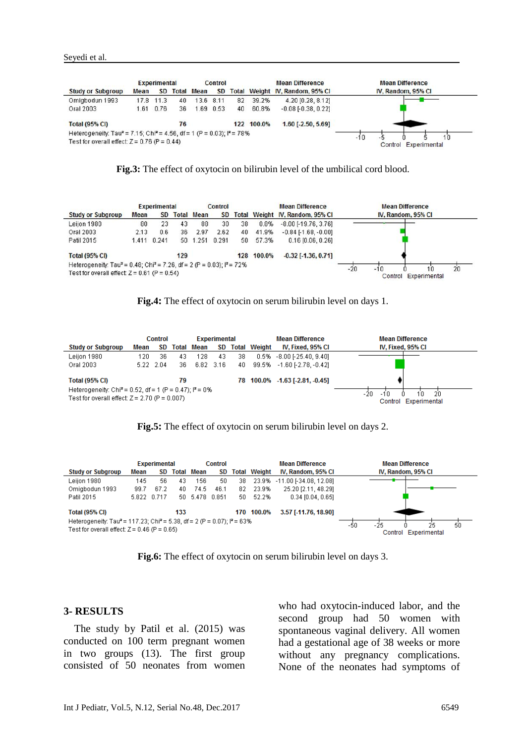|                                                                                                |      | Experimental |    |                   | Control   |    |            | <b>Mean Difference</b>          | <b>Mean Difference</b>                 |
|------------------------------------------------------------------------------------------------|------|--------------|----|-------------------|-----------|----|------------|---------------------------------|----------------------------------------|
| <b>Study or Subgroup</b>                                                                       | Mean | <b>SD</b>    |    | <b>Total Mean</b> | <b>SD</b> |    |            | Total Weight IV, Random, 95% CI | IV, Random, 95% CI                     |
| Omigbodun 1993                                                                                 |      | 17.8 11.3    | 40 |                   | 13.6 8.11 | 82 | 39.2%      | 4.20 [0.28, 8.12]               |                                        |
| Oral 2003                                                                                      | 1.61 | 0.76         | 36 |                   | 1.69 0.53 | 40 | 60.8%      | $-0.08$ $[-0.38, 0.22]$         |                                        |
| <b>Total (95% CI)</b>                                                                          |      |              | 76 |                   |           |    | 122 100.0% | $1.60$ [-2.50, 5.69]            |                                        |
| Heterogeneity: Tau <sup>2</sup> = 7.15; Chi <sup>2</sup> = 4.56, df = 1 (P = 0.03); $P = 78\%$ |      |              |    |                   |           |    |            |                                 |                                        |
| Test for overall effect: $Z = 0.76$ (P = 0.44)                                                 |      |              |    |                   |           |    |            |                                 | $-10$<br>10<br>Experimental<br>Control |

**Fig.3:** The effect of oxytocin on bilirubin level of the umbilical cord blood.

|                                                                                             |      | <b>Experimental</b><br>Control |     |                   |       |    |            | <b>Mean Difference</b>          | <b>Mean Difference</b>              |
|---------------------------------------------------------------------------------------------|------|--------------------------------|-----|-------------------|-------|----|------------|---------------------------------|-------------------------------------|
| <b>Study or Subgroup</b>                                                                    | Mean | SD                             |     | <b>Total Mean</b> | SD    |    |            | Total Weight IV, Random, 95% CI | IV. Random, 95% CI                  |
| Leijon 1980                                                                                 | 80   | 23                             | 43  | 88                | 30    | 38 | 0.8%       | $-8.00$ $[-19.76, 3.76]$        |                                     |
| Oral 2003                                                                                   | 2.13 | 0.6                            | 36  | 2.97              | 2.62  | 40 | 41.9%      | $-0.84$ [ $-1.68$ , $-0.00$ ]   |                                     |
| Patil 2015                                                                                  |      | 1.411 0.241                    |     | 50 1.251          | 0.291 | 50 | 57.3%      | $0.16$ [0.06, 0.26]             |                                     |
| <b>Total (95% CI)</b>                                                                       |      |                                | 129 |                   |       |    | 128 100.0% | $-0.32$ [ $-1.36$ , 0.71]       |                                     |
| Heterogeneity: Tau <sup>2</sup> = 0.48; Chi <sup>2</sup> = 7.26, df = 2 (P = 0.03): P = 72% |      |                                |     |                   |       |    |            |                                 | $-10$                               |
| Test for overall effect: $Z = 0.61$ (P = 0.54)                                              |      |                                |     |                   |       |    |            |                                 | 20<br>$-20$<br>Control Experimental |



|                                                                                                                         | <b>Control</b><br>Experimental |           |     |               |     |    |                     | <b>Mean Difference</b>         | <b>Mean Difference</b>                           |
|-------------------------------------------------------------------------------------------------------------------------|--------------------------------|-----------|-----|---------------|-----|----|---------------------|--------------------------------|--------------------------------------------------|
| <b>Study or Subgroup</b>                                                                                                | Mean                           |           |     | SD Total Mean | SD  |    | <b>Total Weight</b> | IV, Fixed, 95% CI              | IV, Fixed, 95% CI                                |
| Leijon 1980                                                                                                             | 120                            | 36        | 43  | 128           | -43 | 38 |                     | $0.5\% -8.00$ [-25.40, 9.40]   |                                                  |
| Oral 2003                                                                                                               |                                | 5.22 2.04 | 36. | 6.82 3.16     |     | 40 |                     | 99.5% -1.60 [-2.78, -0.42]     |                                                  |
| <b>Total (95% CI)</b>                                                                                                   |                                |           | 79  |               |     |    |                     | 78 100.0% -1.63 [-2.81, -0.45] |                                                  |
| Heterogeneity: Chi <sup>2</sup> = 0.52, df = 1 (P = 0.47); $P = 0\%$<br>Test for overall effect: $Z = 2.70$ (P = 0.007) |                                |           |     |               |     |    |                     |                                | -20<br>1'n<br>-20<br>-10<br>Control Experimental |



|                                                                                                                                                    | <b>Experimental</b><br><b>Control</b> |      |     |                   |      |     |                     | <b>Mean Difference</b> | <b>Mean Difference</b>                            |
|----------------------------------------------------------------------------------------------------------------------------------------------------|---------------------------------------|------|-----|-------------------|------|-----|---------------------|------------------------|---------------------------------------------------|
| <b>Study or Subgroup</b>                                                                                                                           | Mean                                  | SD.  |     | <b>Total Mean</b> | SD   |     | <b>Total Weight</b> | IV. Random, 95% CI     | IV. Random, 95% CI                                |
| Leiion 1980                                                                                                                                        | 145                                   | 56   | 43  | 156               | 50   | 38  | 23.9%               | -11.00 [-34.08, 12.08] |                                                   |
| Omigbodun 1993                                                                                                                                     | 99.7                                  | 67.2 | 40. | 74.5              | 46.1 | 82  | 23.9%               | 25.20 [2.11, 48.29]    |                                                   |
| Patil 2015                                                                                                                                         | 5.822 0.717                           |      |     | 50 5.478 0.851    |      | 50. | 52.2%               | $0.34$ [0.04, 0.65]    |                                                   |
| <b>Total (95% CI)</b>                                                                                                                              |                                       |      | 133 |                   |      |     | 170 100.0%          | 3.57 [-11.76, 18.90]   |                                                   |
| Heterogeneity: Tau <sup>2</sup> = 117.23; Chi <sup>2</sup> = 5.38, df = 2 (P = 0.07); $P = 63\%$<br>Test for overall effect: $Z = 0.46$ (P = 0.65) |                                       |      |     |                   |      |     |                     |                        | 25<br>-25<br>50<br>-50<br>Experimental<br>Control |

**Fig.6:** The effect of oxytocin on serum bilirubin level on days 3.

#### **3- RESULTS**

 The study by Patil et al. (2015) was conducted on 100 term pregnant women in two groups (13). The first group consisted of 50 neonates from women who had oxytocin-induced labor, and the second group had 50 women with spontaneous vaginal delivery. All women had a gestational age of 38 weeks or more without any pregnancy complications. None of the neonates had symptoms of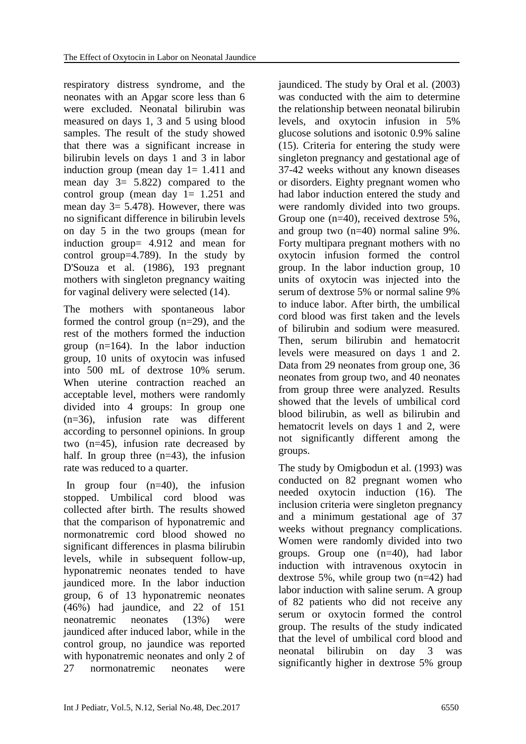respiratory distress syndrome, and the neonates with an Apgar score less than 6 were excluded. Neonatal bilirubin was measured on days 1, 3 and 5 using blood samples. The result of the study showed that there was a significant increase in bilirubin levels on days 1 and 3 in labor induction group (mean day  $1 = 1.411$  and mean day  $3 = 5.822$  compared to the control group (mean day  $1 = 1.251$  and mean day 3= 5.478). However, there was no significant difference in bilirubin levels on day 5 in the two groups (mean for induction group= 4.912 and mean for control group=4.789). In the study by D'Souza et al. (1986), 193 pregnant mothers with singleton pregnancy waiting for vaginal delivery were selected (14).

The mothers with spontaneous labor formed the control group (n=29), and the rest of the mothers formed the induction group (n=164). In the labor induction group, 10 units of oxytocin was infused into 500 mL of dextrose 10% serum. When uterine contraction reached an acceptable level, mothers were randomly divided into 4 groups: In group one (n=36), infusion rate was different according to personnel opinions. In group two (n=45), infusion rate decreased by half. In group three  $(n=43)$ , the infusion rate was reduced to a quarter.

In group four  $(n=40)$ , the infusion stopped. Umbilical cord blood was collected after birth. The results showed that the comparison of hyponatremic and normonatremic cord blood showed no significant differences in plasma bilirubin levels, while in subsequent follow-up, hyponatremic neonates tended to have jaundiced more. In the labor induction group, 6 of 13 hyponatremic neonates (46%) had jaundice, and 22 of 151 neonatremic neonates (13%) were jaundiced after induced labor, while in the control group, no jaundice was reported with hyponatremic neonates and only 2 of 27 normonatremic neonates were

jaundiced. The study by Oral et al. (2003) was conducted with the aim to determine the relationship between neonatal bilirubin levels, and oxytocin infusion in 5% glucose solutions and isotonic 0.9% saline (15). Criteria for entering the study were singleton pregnancy and gestational age of 37-42 weeks without any known diseases or disorders. Eighty pregnant women who had labor induction entered the study and were randomly divided into two groups. Group one (n=40), received dextrose 5%, and group two (n=40) normal saline 9%. Forty multipara pregnant mothers with no oxytocin infusion formed the control group. In the labor induction group, 10 units of oxytocin was injected into the serum of dextrose 5% or normal saline 9% to induce labor. After birth, the umbilical cord blood was first taken and the levels of bilirubin and sodium were measured. Then, serum bilirubin and hematocrit levels were measured on days 1 and 2. Data from 29 neonates from group one, 36 neonates from group two, and 40 neonates from group three were analyzed. Results showed that the levels of umbilical cord blood bilirubin, as well as bilirubin and hematocrit levels on days 1 and 2, were not significantly different among the groups.

The study by Omigbodun et al. (1993) was conducted on 82 pregnant women who needed oxytocin induction (16). The inclusion criteria were singleton pregnancy and a minimum gestational age of 37 weeks without pregnancy complications. Women were randomly divided into two groups. Group one (n=40), had labor induction with intravenous oxytocin in dextrose 5%, while group two (n=42) had labor induction with saline serum. A group of 82 patients who did not receive any serum or oxytocin formed the control group. The results of the study indicated that the level of umbilical cord blood and neonatal bilirubin on day 3 was significantly higher in dextrose 5% group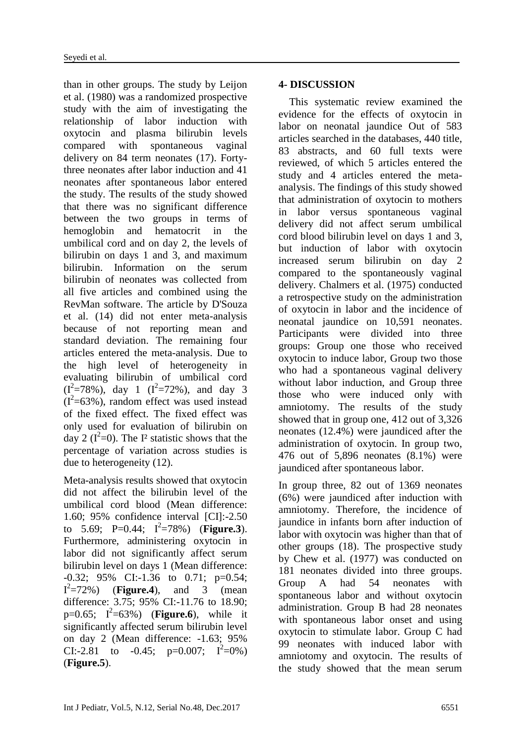than in other groups. The study by Leijon et al. (1980) was a randomized prospective study with the aim of investigating the relationship of labor induction with oxytocin and plasma bilirubin levels compared with spontaneous vaginal delivery on 84 term neonates (17). Fortythree neonates after labor induction and 41 neonates after spontaneous labor entered the study. The results of the study showed that there was no significant difference between the two groups in terms of hemoglobin and hematocrit in the umbilical cord and on day 2, the levels of bilirubin on days 1 and 3, and maximum bilirubin. Information on the serum bilirubin of neonates was collected from all five articles and combined using the RevMan software. The article by D'Souza et al. (14) did not enter meta-analysis because of not reporting mean and standard deviation. The remaining four articles entered the meta-analysis. Due to the high level of heterogeneity in evaluating bilirubin of umbilical cord  $(I^2=78\%)$ , day 1  $(I^2=72\%)$ , and day 3  $(I<sup>2</sup>=63%)$ , random effect was used instead of the fixed effect. The fixed effect was only used for evaluation of bilirubin on day 2 ( $I^2=0$ ). The I<sup>2</sup> statistic shows that the percentage of variation across studies is due to heterogeneity (12).

Meta-analysis results showed that oxytocin did not affect the bilirubin level of the umbilical cord blood (Mean difference: 1.60; 95% confidence interval [CI]:-2.50 to 5.69; P=0.44;  $I^2=78\%$ ) (**Figure.3**). Furthermore, administering oxytocin in labor did not significantly affect serum bilirubin level on days 1 (Mean difference: -0.32; 95% CI:-1.36 to 0.71; p=0.54;  $I^2 = 72\%$  (**Figure.4**), and 3 (mean difference: 3.75; 95% CI:-11.76 to 18.90;  $p=0.65; I^2=63%$  (**Figure.6**), while it significantly affected serum bilirubin level on day 2 (Mean difference: -1.63; 95% CI:-2.81 to -0.45;  $p=0.007$ ;  $I^2=0\%$ ) (**Figure.5**).

## **4- DISCUSSION**

 This systematic review examined the evidence for the effects of oxytocin in labor on neonatal jaundice Out of 583 articles searched in the databases, 440 title, 83 abstracts, and 60 full texts were reviewed, of which 5 articles entered the study and 4 articles entered the metaanalysis. The findings of this study showed that administration of oxytocin to mothers in labor versus spontaneous vaginal delivery did not affect serum umbilical cord blood bilirubin level on days 1 and 3, but induction of labor with oxytocin increased serum bilirubin on day 2 compared to the spontaneously vaginal delivery. Chalmers et al. (1975) conducted a retrospective study on the administration of oxytocin in labor and the incidence of neonatal jaundice on 10,591 neonates. Participants were divided into three groups: Group one those who received oxytocin to induce labor, Group two those who had a spontaneous vaginal delivery without labor induction, and Group three those who were induced only with amniotomy. The results of the study showed that in group one, 412 out of 3,326 neonates (12.4%) were jaundiced after the administration of oxytocin. In group two, 476 out of 5,896 neonates (8.1%) were jaundiced after spontaneous labor.

In group three, 82 out of 1369 neonates (6%) were jaundiced after induction with amniotomy. Therefore, the incidence of jaundice in infants born after induction of labor with oxytocin was higher than that of other groups (18). The prospective study by Chew et al. (1977) was conducted on 181 neonates divided into three groups. Group A had 54 neonates with spontaneous labor and without oxytocin administration. Group B had 28 neonates with spontaneous labor onset and using oxytocin to stimulate labor. Group C had 99 neonates with induced labor with amniotomy and oxytocin. The results of the study showed that the mean serum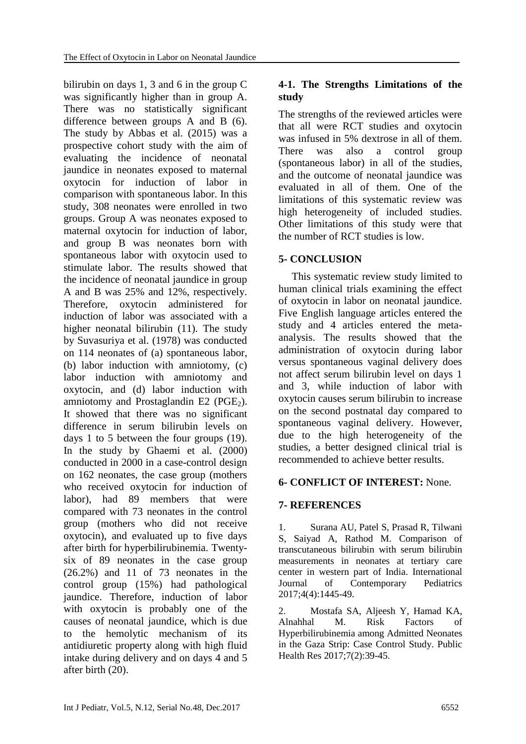bilirubin on days 1, 3 and 6 in the group C was significantly higher than in group A. There was no statistically significant difference between groups A and B (6). The study by Abbas et al. (2015) was a prospective cohort study with the aim of evaluating the incidence of neonatal jaundice in neonates exposed to maternal oxytocin for induction of labor in comparison with spontaneous labor. In this study, 308 neonates were enrolled in two groups. Group A was neonates exposed to maternal oxytocin for induction of labor, and group B was neonates born with spontaneous labor with oxytocin used to stimulate labor. The results showed that the incidence of neonatal jaundice in group A and B was 25% and 12%, respectively. Therefore, oxytocin administered for induction of labor was associated with a higher neonatal bilirubin (11). The study by Suvasuriya et al. (1978) was conducted on 114 neonates of (a) spontaneous labor, (b) labor induction with amniotomy, (c) labor induction with amniotomy and oxytocin, and (d) labor induction with amniotomy and Prostaglandin E2 (PGE $_2$ ). It showed that there was no significant difference in serum bilirubin levels on days 1 to 5 between the four groups (19). In the study by Ghaemi et al. (2000) conducted in 2000 in a case-control design on 162 neonates, the case group (mothers who received oxytocin for induction of labor), had 89 members that were compared with 73 neonates in the control group (mothers who did not receive oxytocin), and evaluated up to five days after birth for hyperbilirubinemia. Twentysix of 89 neonates in the case group (26.2%) and 11 of 73 neonates in the control group (15%) had pathological jaundice. Therefore, induction of labor with oxytocin is probably one of the causes of neonatal jaundice, which is due to the hemolytic mechanism of its antidiuretic property along with high fluid intake during delivery and on days 4 and 5 after birth (20).

# **4-1. The Strengths Limitations of the study**

The strengths of the reviewed articles were that all were RCT studies and oxytocin was infused in 5% dextrose in all of them. There was also a control group (spontaneous labor) in all of the studies, and the outcome of neonatal jaundice was evaluated in all of them. One of the limitations of this systematic review was high heterogeneity of included studies. Other limitations of this study were that the number of RCT studies is low.

## **5- CONCLUSION**

 This systematic review study limited to human clinical trials examining the effect of oxytocin in labor on neonatal jaundice. Five English language articles entered the study and 4 articles entered the metaanalysis. The results showed that the administration of oxytocin during labor versus spontaneous vaginal delivery does not affect serum bilirubin level on days 1 and 3, while induction of labor with oxytocin causes serum bilirubin to increase on the second postnatal day compared to spontaneous vaginal delivery. However, due to the high heterogeneity of the studies, a better designed clinical trial is recommended to achieve better results.

# **6- CONFLICT OF INTEREST:** None.

#### **7- REFERENCES**

1. Surana AU, Patel S, Prasad R, Tilwani S, Saiyad A, Rathod M. Comparison of transcutaneous bilirubin with serum bilirubin measurements in neonates at tertiary care center in western part of India. International Journal of Contemporary Pediatrics 2017;4(4):1445-49.

2. Mostafa SA, Aljeesh Y, Hamad KA, Alnahhal M. Risk Factors of Hyperbilirubinemia among Admitted Neonates in the Gaza Strip: Case Control Study. Public Health Res 2017;7(2):39-45.